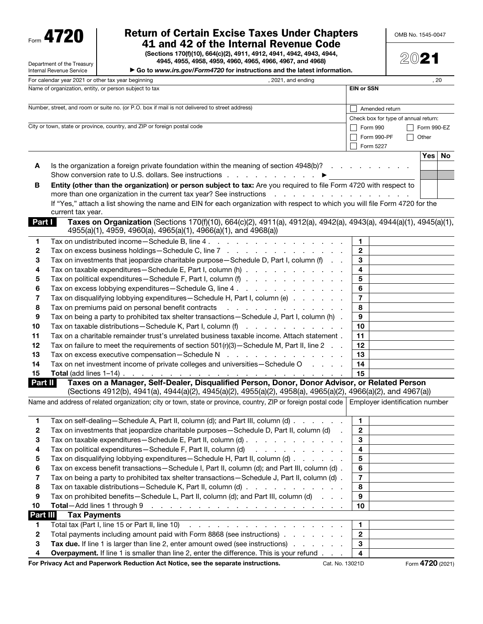Form 4720

# Return of Certain Excise Taxes Under Chapters 41 and 42 of the Internal Revenue Code

(Sections 170(f)(10), 664(c)(2), 4911, 4912, 4941, 4942, 4943, 4944,

OMB No. 1545-0047

|                  | Department of the Treasury          | (Sections 170(f)(10), 664(c)(2), 4911, 4912, 4941, 4942, 4943, 4944,<br>4945, 4955, 4958, 4959, 4960, 4965, 4966, 4967, and 4968)                                                                                                                                                |                         | 2021                                 |             |
|------------------|-------------------------------------|----------------------------------------------------------------------------------------------------------------------------------------------------------------------------------------------------------------------------------------------------------------------------------|-------------------------|--------------------------------------|-------------|
|                  | Internal Revenue Service            | Go to www.irs.gov/Form4720 for instructions and the latest information.                                                                                                                                                                                                          |                         |                                      |             |
|                  |                                     | For calendar year 2021 or other tax year beginning<br>, 2021, and ending                                                                                                                                                                                                         |                         |                                      | , 20        |
|                  |                                     | Name of organization, entity, or person subject to tax                                                                                                                                                                                                                           | <b>EIN or SSN</b>       |                                      |             |
|                  |                                     | Number, street, and room or suite no. (or P.O. box if mail is not delivered to street address)                                                                                                                                                                                   | Amended return          |                                      |             |
|                  |                                     |                                                                                                                                                                                                                                                                                  |                         | Check box for type of annual return: |             |
|                  |                                     | City or town, state or province, country, and ZIP or foreign postal code                                                                                                                                                                                                         | Form 990                |                                      | Form 990-EZ |
|                  |                                     |                                                                                                                                                                                                                                                                                  | Form 990-PF             |                                      | Other       |
|                  |                                     |                                                                                                                                                                                                                                                                                  | Form 5227               |                                      |             |
|                  |                                     |                                                                                                                                                                                                                                                                                  |                         |                                      | Yes<br>No   |
| A                |                                     | Is the organization a foreign private foundation within the meaning of section 4948(b)?                                                                                                                                                                                          |                         |                                      |             |
|                  |                                     | Show conversion rate to U.S. dollars. See instructions enter the state of the conversion rate to U.S.                                                                                                                                                                            |                         |                                      |             |
| в                |                                     | Entity (other than the organization) or person subject to tax: Are you required to file Form 4720 with respect to<br>more than one organization in the current tax year? See instructions<br>and a series of the contract of the contract of the                                 |                         |                                      |             |
|                  |                                     | If "Yes," attach a list showing the name and EIN for each organization with respect to which you will file Form 4720 for the                                                                                                                                                     |                         |                                      |             |
|                  | current tax year.                   |                                                                                                                                                                                                                                                                                  |                         |                                      |             |
| Part I           |                                     | Taxes on Organization (Sections 170(f)(10), 664(c)(2), 4911(a), 4912(a), 4942(a), 4943(a), 4944(a)(1), 4945(a)(1),                                                                                                                                                               |                         |                                      |             |
|                  |                                     | 4955(a)(1), 4959, 4960(a), 4965(a)(1), 4966(a)(1), and 4968(a))                                                                                                                                                                                                                  |                         |                                      |             |
| 1                |                                     | Tax on undistributed income - Schedule B, line 4.                                                                                                                                                                                                                                | 1                       |                                      |             |
| 2                |                                     | Tax on excess business holdings—Schedule C, line 7                                                                                                                                                                                                                               | $\mathbf{2}$            |                                      |             |
| 3                |                                     | Tax on investments that jeopardize charitable purpose - Schedule D, Part I, column (f)                                                                                                                                                                                           | 3                       |                                      |             |
| 4                |                                     | Tax on taxable expenditures—Schedule E, Part I, column (h)                                                                                                                                                                                                                       | $\overline{\mathbf{4}}$ |                                      |             |
| 5                |                                     | Tax on political expenditures—Schedule F, Part I, column (f)                                                                                                                                                                                                                     | 5                       |                                      |             |
| 6                |                                     | Tax on excess lobbying expenditures - Schedule G, line 4                                                                                                                                                                                                                         | 6                       |                                      |             |
| 7                |                                     | Tax on disqualifying lobbying expenditures - Schedule H, Part I, column (e)                                                                                                                                                                                                      | $\overline{7}$          |                                      |             |
| 8                |                                     | Tax on premiums paid on personal benefit contracts<br>the contract of the contract of the contract of                                                                                                                                                                            | 8                       |                                      |             |
| 9                |                                     | Tax on being a party to prohibited tax shelter transactions - Schedule J, Part I, column (h) .                                                                                                                                                                                   | 9                       |                                      |             |
| 10               |                                     | Tax on taxable distributions - Schedule K, Part I, column (f)<br>and the company of the company                                                                                                                                                                                  | 10                      |                                      |             |
| 11               |                                     | Tax on a charitable remainder trust's unrelated business taxable income. Attach statement.                                                                                                                                                                                       | 11                      |                                      |             |
| 12               |                                     | Tax on failure to meet the requirements of section $501(r)(3)$ - Schedule M, Part II, line 2.                                                                                                                                                                                    | 12                      |                                      |             |
| 13               |                                     | Tax on excess executive compensation-Schedule N<br>and a series of the contract of the con-                                                                                                                                                                                      | 13                      |                                      |             |
| 14               |                                     | Tax on net investment income of private colleges and universities - Schedule O                                                                                                                                                                                                   | 14                      |                                      |             |
| 15               |                                     | Total (add lines 1–14)<br>II Taxes on a Manager, Self-Dealer, Disqualified Person, Donor, Donor Advisor, or Related Person                                                                                                                                                       |                         |                                      |             |
| Part II          |                                     |                                                                                                                                                                                                                                                                                  |                         |                                      |             |
|                  |                                     | (Sections 4912(b), 4941(a), 4944(a)(2), 4945(a)(2), 4955(a)(2), 4958(a), 4965(a)(2), 4966(a)(2), and 4967(a))                                                                                                                                                                    |                         |                                      |             |
|                  |                                     | Name and address of related organization; city or town, state or province, country, ZIP or foreign postal code Employer identification number                                                                                                                                    |                         |                                      |             |
| 1                |                                     | Tax on self-dealing-Schedule A, Part II, column (d); and Part III, column (d)                                                                                                                                                                                                    | 1                       |                                      |             |
| $\boldsymbol{2}$ |                                     | Tax on investments that jeopardize charitable purposes-Schedule D, Part II, column (d)                                                                                                                                                                                           | $\overline{\mathbf{2}}$ |                                      |             |
| 3                |                                     | Tax on taxable expenditures-Schedule E, Part II, column (d)                                                                                                                                                                                                                      | $\mathbf{3}$            |                                      |             |
| 4                |                                     | Tax on political expenditures-Schedule F, Part II, column (d)<br>and a series of the contract of                                                                                                                                                                                 | 4                       |                                      |             |
| 5                |                                     | Tax on disqualifying lobbying expenditures—Schedule H, Part II, column (d)                                                                                                                                                                                                       | $\bf 5$                 |                                      |             |
| 6                |                                     | Tax on excess benefit transactions-Schedule I, Part II, column (d); and Part III, column (d).                                                                                                                                                                                    | $\bf 6$                 |                                      |             |
| 7                |                                     | Tax on being a party to prohibited tax shelter transactions-Schedule J, Part II, column (d).                                                                                                                                                                                     | $\overline{\mathbf{z}}$ |                                      |             |
| 8                |                                     | Tax on taxable distributions - Schedule K, Part II, column (d)                                                                                                                                                                                                                   | 8                       |                                      |             |
| 9                |                                     | Tax on prohibited benefits-Schedule L, Part II, column (d); and Part III, column (d)<br>$\mathbf{r} = \mathbf{r} + \mathbf{r}$ .                                                                                                                                                 | $\boldsymbol{9}$        |                                      |             |
| 10               | <b>Total</b> -Add lines 1 through 9 | والمتحاول والمتحاول والمتحاول والمتحاول والمتحاول والمتحاول والمتحاولة والمتحاول                                                                                                                                                                                                 | 10                      |                                      |             |
| Part III         | <b>Tax Payments</b>                 |                                                                                                                                                                                                                                                                                  |                         |                                      |             |
| 1.               |                                     | Total tax (Part I, line 15 or Part II, line 10)<br>a construction of the construction of the construction of the construction of the construction of the construction of the construction of the construction of the construction of the construction of the construction of the | 1                       |                                      |             |
| $\mathbf{2}$     |                                     | Total payments including amount paid with Form 8868 (see instructions)                                                                                                                                                                                                           | $\overline{\mathbf{2}}$ |                                      |             |
| 3                |                                     | Tax due. If line 1 is larger than line 2, enter amount owed (see instructions)                                                                                                                                                                                                   | $\mathbf{3}$            |                                      |             |
| 4                |                                     | <b>Overpayment.</b> If line 1 is smaller than line 2, enter the difference. This is your refund                                                                                                                                                                                  | 4                       |                                      | 1700        |

For Privacy Act and Paperwork Reduction Act Notice, see the separate instructions. Cat. No. 13021D Form 4720 (2021)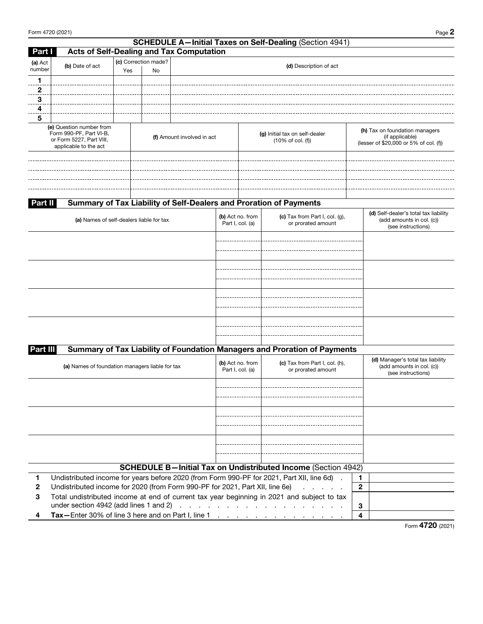|                                                                                                                                        | Form 4720 (2021)                                                             |     |                                                                |                                                 |                                      |                                                                                             |              | Page 2                                                                                   |
|----------------------------------------------------------------------------------------------------------------------------------------|------------------------------------------------------------------------------|-----|----------------------------------------------------------------|-------------------------------------------------|--------------------------------------|---------------------------------------------------------------------------------------------|--------------|------------------------------------------------------------------------------------------|
|                                                                                                                                        |                                                                              |     |                                                                |                                                 |                                      | <b>SCHEDULE A-Initial Taxes on Self-Dealing (Section 4941)</b>                              |              |                                                                                          |
| Part I                                                                                                                                 |                                                                              |     |                                                                | <b>Acts of Self-Dealing and Tax Computation</b> |                                      |                                                                                             |              |                                                                                          |
| (a) Act<br>number                                                                                                                      | (b) Date of act                                                              | Yes | (c) Correction made?<br>No                                     |                                                 |                                      | (d) Description of act                                                                      |              |                                                                                          |
| 1                                                                                                                                      |                                                                              |     |                                                                |                                                 |                                      |                                                                                             |              |                                                                                          |
| 2                                                                                                                                      |                                                                              |     |                                                                |                                                 |                                      |                                                                                             |              |                                                                                          |
| 3                                                                                                                                      |                                                                              |     |                                                                |                                                 |                                      |                                                                                             |              |                                                                                          |
| 4                                                                                                                                      |                                                                              |     |                                                                |                                                 |                                      |                                                                                             |              |                                                                                          |
| 5                                                                                                                                      |                                                                              |     |                                                                |                                                 |                                      |                                                                                             |              |                                                                                          |
| (e) Question number from<br>Form 990-PF, Part VI-B,<br>(f) Amount involved in act<br>or Form 5227, Part VIII,<br>applicable to the act |                                                                              |     | (g) Initial tax on self-dealer<br>$(10\% \text{ of col.} (f))$ |                                                 |                                      | (h) Tax on foundation managers<br>(if applicable)<br>(lesser of \$20,000 or 5% of col. (f)) |              |                                                                                          |
|                                                                                                                                        |                                                                              |     |                                                                |                                                 |                                      |                                                                                             |              |                                                                                          |
|                                                                                                                                        |                                                                              |     |                                                                |                                                 |                                      |                                                                                             |              |                                                                                          |
| Part II                                                                                                                                |                                                                              |     |                                                                |                                                 |                                      | Summary of Tax Liability of Self-Dealers and Proration of Payments                          |              |                                                                                          |
|                                                                                                                                        | (a) Names of self-dealers liable for tax                                     |     |                                                                |                                                 | (b) Act no. from<br>Part I, col. (a) | (c) Tax from Part I, col. $(g)$ ,<br>or prorated amount                                     |              | (d) Self-dealer's total tax liability<br>(add amounts in col. (c))<br>(see instructions) |
|                                                                                                                                        |                                                                              |     |                                                                |                                                 |                                      |                                                                                             |              |                                                                                          |
|                                                                                                                                        |                                                                              |     |                                                                |                                                 |                                      |                                                                                             |              |                                                                                          |
|                                                                                                                                        |                                                                              |     |                                                                |                                                 |                                      |                                                                                             |              |                                                                                          |
|                                                                                                                                        |                                                                              |     |                                                                |                                                 |                                      |                                                                                             |              |                                                                                          |
|                                                                                                                                        |                                                                              |     |                                                                |                                                 |                                      |                                                                                             |              |                                                                                          |
|                                                                                                                                        |                                                                              |     |                                                                |                                                 |                                      |                                                                                             |              |                                                                                          |
| Part III                                                                                                                               |                                                                              |     |                                                                |                                                 |                                      | Summary of Tax Liability of Foundation Managers and Proration of Payments                   |              |                                                                                          |
|                                                                                                                                        | (a) Names of foundation managers liable for tax                              |     |                                                                |                                                 | (b) Act no. from<br>Part I, col. (a) | (c) Tax from Part I, col. (h),<br>or prorated amount                                        |              | (d) Manager's total tax liability<br>(add amounts in col. (c))<br>(see instructions)     |
|                                                                                                                                        |                                                                              |     |                                                                |                                                 |                                      |                                                                                             |              |                                                                                          |
|                                                                                                                                        |                                                                              |     |                                                                |                                                 |                                      |                                                                                             |              |                                                                                          |
|                                                                                                                                        |                                                                              |     |                                                                |                                                 |                                      |                                                                                             |              |                                                                                          |
|                                                                                                                                        |                                                                              |     |                                                                |                                                 |                                      |                                                                                             |              |                                                                                          |
|                                                                                                                                        |                                                                              |     |                                                                |                                                 |                                      | <b>SCHEDULE B-Initial Tax on Undistributed Income (Section 4942)</b>                        |              |                                                                                          |
| 1.                                                                                                                                     |                                                                              |     |                                                                |                                                 |                                      | Undistributed income for years before 2020 (from Form 990-PF for 2021, Part XII, line 6d).  | 1.           |                                                                                          |
| 2                                                                                                                                      | Undistributed income for 2020 (from Form 990-PF for 2021, Part XII, line 6e) |     |                                                                |                                                 |                                      | and a state of                                                                              | $\mathbf{2}$ |                                                                                          |
| 3                                                                                                                                      |                                                                              |     |                                                                |                                                 |                                      | Total undistributed income at end of current tax year beginning in 2021 and subject to tax  |              |                                                                                          |
|                                                                                                                                        |                                                                              |     |                                                                |                                                 |                                      |                                                                                             | 3            |                                                                                          |
| 4                                                                                                                                      |                                                                              |     |                                                                |                                                 |                                      | Tax-Enter 30% of line 3 here and on Part I, line 1                                          | 4            |                                                                                          |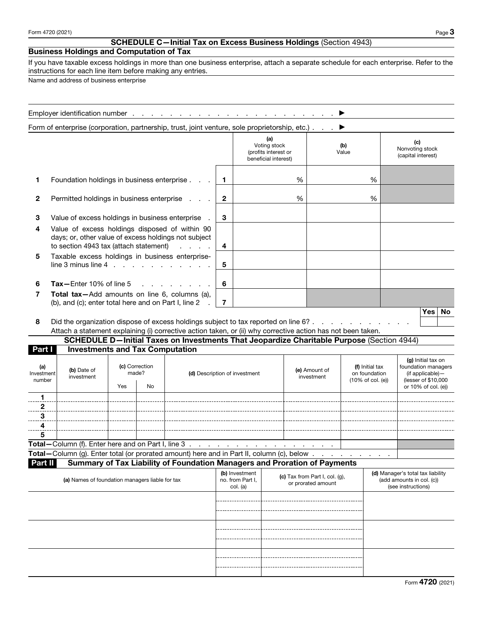## SCHEDULE C—Initial Tax on Excess Business Holdings (Section 4943)

# Business Holdings and Computation of Tax

If you have taxable excess holdings in more than one business enterprise, attach a separate schedule for each enterprise. Refer to the instructions for each line item before making any entries.

Name and address of business enterprise

|                                                                                                            | Form of enterprise (corporation, partnership, trust, joint venture, sole proprietorship, etc.).                                                                                                     |     |                               |                                                                                           |              |                                                              |                                                                     |   |                                                                   |              |                                                                                                             |                                                 |                                              |
|------------------------------------------------------------------------------------------------------------|-----------------------------------------------------------------------------------------------------------------------------------------------------------------------------------------------------|-----|-------------------------------|-------------------------------------------------------------------------------------------|--------------|--------------------------------------------------------------|---------------------------------------------------------------------|---|-------------------------------------------------------------------|--------------|-------------------------------------------------------------------------------------------------------------|-------------------------------------------------|----------------------------------------------|
|                                                                                                            |                                                                                                                                                                                                     |     |                               |                                                                                           |              |                                                              | (a)<br>Voting stock<br>(profits interest or<br>beneficial interest) |   |                                                                   | (b)<br>Value |                                                                                                             |                                                 | (c)<br>Nonvoting stock<br>(capital interest) |
| 1                                                                                                          | Foundation holdings in business enterprise.                                                                                                                                                         |     |                               |                                                                                           | $\mathbf{1}$ |                                                              |                                                                     | % |                                                                   |              | %                                                                                                           |                                                 |                                              |
| 2                                                                                                          | Permitted holdings in business enterprise                                                                                                                                                           |     |                               |                                                                                           | $\mathbf{2}$ |                                                              |                                                                     | % |                                                                   |              | %                                                                                                           |                                                 |                                              |
| З                                                                                                          | Value of excess holdings in business enterprise                                                                                                                                                     |     |                               |                                                                                           | 3            |                                                              |                                                                     |   |                                                                   |              |                                                                                                             |                                                 |                                              |
| 4                                                                                                          | Value of excess holdings disposed of within 90<br>days; or, other value of excess holdings not subject<br>to section 4943 tax (attach statement)                                                    |     | $\overline{\mathbf{4}}$       |                                                                                           |              |                                                              |                                                                     |   |                                                                   |              |                                                                                                             |                                                 |                                              |
| 5                                                                                                          | Taxable excess holdings in business enterprise-<br>$line 3$ minus line $4$ , $\ldots$ , $\ldots$ , $\ldots$                                                                                         |     |                               |                                                                                           | 5            |                                                              |                                                                     |   |                                                                   |              |                                                                                                             |                                                 |                                              |
| 6                                                                                                          | $\text{Tax}-\text{Enter}$ 10% of line 5                                                                                                                                                             |     |                               |                                                                                           | 6            |                                                              |                                                                     |   |                                                                   |              |                                                                                                             |                                                 |                                              |
| Total tax-Add amounts on line 6, columns (a),<br>7<br>(b), and (c); enter total here and on Part I, line 2 |                                                                                                                                                                                                     |     |                               |                                                                                           |              |                                                              |                                                                     |   |                                                                   |              |                                                                                                             |                                                 |                                              |
| 8                                                                                                          | Did the organization dispose of excess holdings subject to tax reported on line 6?.<br>Attach a statement explaining (i) corrective action taken, or (ii) why corrective action has not been taken. |     |                               | SCHEDULE D-Initial Taxes on Investments That Jeopardize Charitable Purpose (Section 4944) |              |                                                              |                                                                     |   | and a state of the                                                |              |                                                                                                             |                                                 | <b>Yes</b><br>No                             |
| Part I                                                                                                     | <b>Investments and Tax Computation</b>                                                                                                                                                              |     |                               |                                                                                           |              |                                                              |                                                                     |   |                                                                   |              |                                                                                                             |                                                 |                                              |
| (a)<br>Investment<br>number                                                                                | (b) Date of<br>investment                                                                                                                                                                           | Yes | (c) Correction<br>made?<br>No |                                                                                           |              | (e) Amount of<br>(d) Description of investment<br>investment |                                                                     |   | (f) Initial tax<br>on foundation<br>$(10\% \text{ of col. } (e))$ |              | (g) Initial tax on<br>foundation managers<br>(if applicable)-<br>(lesser of \$10,000<br>or 10% of col. (e)) |                                                 |                                              |
| 1                                                                                                          |                                                                                                                                                                                                     |     |                               |                                                                                           |              |                                                              |                                                                     |   |                                                                   |              |                                                                                                             |                                                 |                                              |
| $\overline{a}$                                                                                             |                                                                                                                                                                                                     |     |                               |                                                                                           |              |                                                              |                                                                     |   |                                                                   |              |                                                                                                             |                                                 |                                              |
| 3<br>4                                                                                                     |                                                                                                                                                                                                     |     |                               |                                                                                           |              |                                                              |                                                                     |   |                                                                   |              |                                                                                                             |                                                 |                                              |
| 5                                                                                                          | Total-Column (f). Enter here and on Part I, line 3.                                                                                                                                                 |     |                               |                                                                                           |              |                                                              |                                                                     |   |                                                                   |              |                                                                                                             |                                                 |                                              |
|                                                                                                            | Total - Column (g). Enter total (or prorated amount) here and in Part II, column (c), below                                                                                                         |     |                               |                                                                                           |              |                                                              |                                                                     |   |                                                                   |              |                                                                                                             |                                                 |                                              |
| Part II                                                                                                    |                                                                                                                                                                                                     |     |                               | Summary of Tax Liability of Foundation Managers and Proration of Payments                 |              |                                                              |                                                                     |   |                                                                   |              |                                                                                                             |                                                 |                                              |
|                                                                                                            | (a) Names of foundation managers liable for tax                                                                                                                                                     |     |                               |                                                                                           |              | (b) Investment<br>no. from Part I,<br>col. (a)               |                                                                     |   | (c) Tax from Part I, col. (g),<br>or prorated amount              |              |                                                                                                             | (add amounts in col. (c))<br>(see instructions) | (d) Manager's total tax liability            |
|                                                                                                            |                                                                                                                                                                                                     |     |                               |                                                                                           |              |                                                              |                                                                     |   |                                                                   |              |                                                                                                             |                                                 |                                              |
|                                                                                                            |                                                                                                                                                                                                     |     |                               |                                                                                           |              |                                                              |                                                                     |   |                                                                   |              |                                                                                                             |                                                 |                                              |
|                                                                                                            |                                                                                                                                                                                                     |     |                               |                                                                                           |              |                                                              |                                                                     |   |                                                                   |              |                                                                                                             |                                                 |                                              |
|                                                                                                            |                                                                                                                                                                                                     |     |                               |                                                                                           |              |                                                              |                                                                     |   |                                                                   |              |                                                                                                             |                                                 |                                              |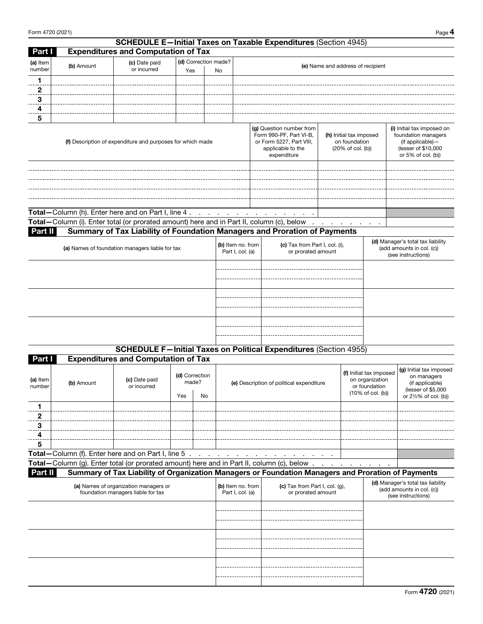|                    |                                                     |                                                                             |                             |                                       |                                                                                                                                                                                      | <b>SCHEDULE E-Initial Taxes on Taxable Expenditures (Section 4945)</b>                             |                                   |  |                                                                                                                    |                                                                                 |  |
|--------------------|-----------------------------------------------------|-----------------------------------------------------------------------------|-----------------------------|---------------------------------------|--------------------------------------------------------------------------------------------------------------------------------------------------------------------------------------|----------------------------------------------------------------------------------------------------|-----------------------------------|--|--------------------------------------------------------------------------------------------------------------------|---------------------------------------------------------------------------------|--|
| Part I             |                                                     | <b>Expenditures and Computation of Tax</b>                                  |                             |                                       |                                                                                                                                                                                      |                                                                                                    |                                   |  |                                                                                                                    |                                                                                 |  |
| (a) Item<br>number | (b) Amount                                          | (c) Date paid<br>or incurred                                                | (d) Correction made?<br>Yes | No                                    |                                                                                                                                                                                      |                                                                                                    | (e) Name and address of recipient |  |                                                                                                                    |                                                                                 |  |
| 1.                 |                                                     |                                                                             |                             |                                       |                                                                                                                                                                                      |                                                                                                    |                                   |  |                                                                                                                    |                                                                                 |  |
| $\overline{2}$     |                                                     |                                                                             |                             |                                       |                                                                                                                                                                                      |                                                                                                    |                                   |  |                                                                                                                    |                                                                                 |  |
| 3                  |                                                     |                                                                             |                             |                                       |                                                                                                                                                                                      |                                                                                                    |                                   |  |                                                                                                                    |                                                                                 |  |
| 4                  |                                                     |                                                                             |                             |                                       |                                                                                                                                                                                      |                                                                                                    |                                   |  |                                                                                                                    |                                                                                 |  |
| 5                  |                                                     |                                                                             |                             |                                       |                                                                                                                                                                                      |                                                                                                    |                                   |  |                                                                                                                    |                                                                                 |  |
|                    |                                                     | (f) Description of expenditure and purposes for which made                  |                             |                                       | (g) Question number from<br>Form 990-PF, Part VI-B,<br>(h) Initial tax imposed<br>or Form 5227, Part VIII,<br>on foundation<br>applicable to the<br>(20% of col. (b))<br>expenditure |                                                                                                    |                                   |  | (i) Initial tax imposed on<br>foundation managers<br>(if applicable)-<br>(lesser of \$10,000<br>or 5% of col. (b)) |                                                                                 |  |
|                    | Total-Column (h). Enter here and on Part I, line 4. |                                                                             |                             |                                       |                                                                                                                                                                                      | and a series of the contract of the contract of                                                    |                                   |  |                                                                                                                    |                                                                                 |  |
|                    |                                                     |                                                                             |                             |                                       |                                                                                                                                                                                      | Total - Column (i). Enter total (or prorated amount) here and in Part II, column (c), below        |                                   |  |                                                                                                                    |                                                                                 |  |
| Part II            |                                                     |                                                                             |                             |                                       |                                                                                                                                                                                      | Summary of Tax Liability of Foundation Managers and Proration of Payments                          |                                   |  |                                                                                                                    |                                                                                 |  |
|                    |                                                     | (a) Names of foundation managers liable for tax                             |                             |                                       | (b) Item no. from<br>Part I, col. (a)                                                                                                                                                | (c) Tax from Part I, col. (i),<br>or prorated amount                                               |                                   |  | (d) Manager's total tax liability<br>(add amounts in col. (c))<br>(see instructions)                               |                                                                                 |  |
|                    |                                                     |                                                                             |                             |                                       |                                                                                                                                                                                      |                                                                                                    |                                   |  |                                                                                                                    |                                                                                 |  |
|                    |                                                     |                                                                             |                             |                                       |                                                                                                                                                                                      |                                                                                                    |                                   |  |                                                                                                                    |                                                                                 |  |
|                    |                                                     |                                                                             |                             |                                       |                                                                                                                                                                                      |                                                                                                    |                                   |  |                                                                                                                    |                                                                                 |  |
|                    |                                                     |                                                                             |                             |                                       |                                                                                                                                                                                      |                                                                                                    |                                   |  |                                                                                                                    |                                                                                 |  |
|                    |                                                     |                                                                             |                             |                                       |                                                                                                                                                                                      | <b>SCHEDULE F-Initial Taxes on Political Expenditures (Section 4955)</b>                           |                                   |  |                                                                                                                    |                                                                                 |  |
| Part I             |                                                     | <b>Expenditures and Computation of Tax</b>                                  |                             |                                       |                                                                                                                                                                                      |                                                                                                    |                                   |  |                                                                                                                    |                                                                                 |  |
| (a) Item<br>number | (b) Amount                                          | (c) Date paid<br>or incurred                                                | (d) Correction<br>made?     |                                       |                                                                                                                                                                                      | (e) Description of political expenditure                                                           |                                   |  | (f) Initial tax imposed<br>on organization<br>or foundation<br>(10% of col. (b))                                   | (g) Initial tax imposed<br>on managers<br>(if applicable)<br>(lesser of \$5,000 |  |
|                    |                                                     |                                                                             | Yes                         | No                                    |                                                                                                                                                                                      |                                                                                                    |                                   |  |                                                                                                                    | or 21/2% of col. (b))                                                           |  |
| 1                  |                                                     |                                                                             |                             |                                       |                                                                                                                                                                                      |                                                                                                    |                                   |  |                                                                                                                    |                                                                                 |  |
| 2<br>3             |                                                     |                                                                             |                             |                                       |                                                                                                                                                                                      |                                                                                                    |                                   |  |                                                                                                                    |                                                                                 |  |
| 4                  |                                                     |                                                                             |                             |                                       |                                                                                                                                                                                      |                                                                                                    |                                   |  |                                                                                                                    |                                                                                 |  |
| 5                  |                                                     |                                                                             |                             |                                       |                                                                                                                                                                                      |                                                                                                    |                                   |  |                                                                                                                    |                                                                                 |  |
|                    | Total-Column (f). Enter here and on Part I, line 5. |                                                                             |                             |                                       |                                                                                                                                                                                      | the contract of the contract of                                                                    |                                   |  |                                                                                                                    |                                                                                 |  |
|                    |                                                     |                                                                             |                             |                                       |                                                                                                                                                                                      | Total-Column (g). Enter total (or prorated amount) here and in Part II, column (c), below .        |                                   |  |                                                                                                                    |                                                                                 |  |
| Part II            |                                                     |                                                                             |                             |                                       |                                                                                                                                                                                      | Summary of Tax Liability of Organization Managers or Foundation Managers and Proration of Payments |                                   |  |                                                                                                                    |                                                                                 |  |
|                    |                                                     | (a) Names of organization managers or<br>foundation managers liable for tax |                             | (b) Item no. from<br>Part I, col. (a) | (c) Tax from Part I, col. $(q)$ ,<br>or prorated amount                                                                                                                              |                                                                                                    |                                   |  | (d) Manager's total tax liability<br>(add amounts in col. (c))<br>(see instructions)                               |                                                                                 |  |
|                    |                                                     |                                                                             |                             |                                       |                                                                                                                                                                                      |                                                                                                    |                                   |  |                                                                                                                    |                                                                                 |  |
|                    |                                                     |                                                                             |                             |                                       |                                                                                                                                                                                      |                                                                                                    |                                   |  |                                                                                                                    |                                                                                 |  |
|                    |                                                     |                                                                             |                             |                                       |                                                                                                                                                                                      |                                                                                                    |                                   |  |                                                                                                                    |                                                                                 |  |
|                    |                                                     |                                                                             |                             |                                       |                                                                                                                                                                                      |                                                                                                    |                                   |  |                                                                                                                    |                                                                                 |  |
|                    |                                                     |                                                                             |                             |                                       |                                                                                                                                                                                      |                                                                                                    |                                   |  |                                                                                                                    |                                                                                 |  |
|                    |                                                     |                                                                             |                             |                                       |                                                                                                                                                                                      |                                                                                                    |                                   |  |                                                                                                                    |                                                                                 |  |
|                    |                                                     |                                                                             |                             |                                       |                                                                                                                                                                                      |                                                                                                    |                                   |  |                                                                                                                    |                                                                                 |  |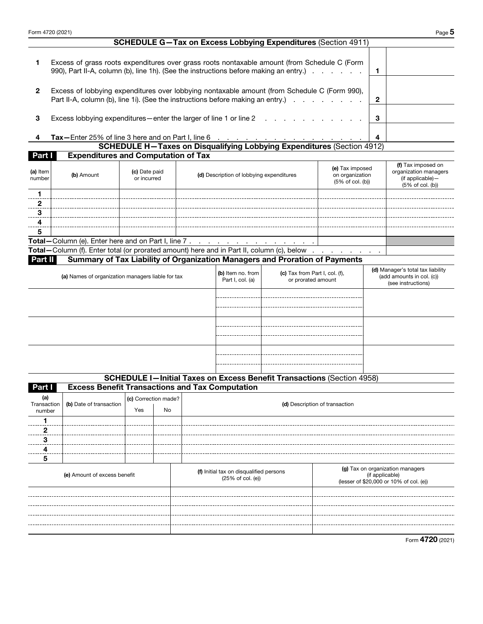| Form 4720 (2021)             |                                                                                                                                                                                                                                            |                             |    |  |                                                              |                                                                               |                                |                                                                                                | Page 5 |
|------------------------------|--------------------------------------------------------------------------------------------------------------------------------------------------------------------------------------------------------------------------------------------|-----------------------------|----|--|--------------------------------------------------------------|-------------------------------------------------------------------------------|--------------------------------|------------------------------------------------------------------------------------------------|--------|
|                              |                                                                                                                                                                                                                                            |                             |    |  |                                                              | <b>SCHEDULE G-Tax on Excess Lobbying Expenditures (Section 4911)</b>          |                                |                                                                                                |        |
| 1                            | Excess of grass roots expenditures over grass roots nontaxable amount (from Schedule C (Form<br>990), Part II-A, column (b), line 1h). (See the instructions before making an entry.)                                                      |                             |    |  |                                                              |                                                                               |                                | 1                                                                                              |        |
| $\mathbf{2}$                 | Excess of lobbying expenditures over lobbying nontaxable amount (from Schedule C (Form 990),<br>Part II-A, column (b), line 1i). (See the instructions before making an entry.)                                                            |                             |    |  |                                                              |                                                                               |                                | $\mathbf{2}$                                                                                   |        |
| 3                            | Excess lobbying expenditures - enter the larger of line 1 or line 2                                                                                                                                                                        |                             |    |  |                                                              |                                                                               |                                | 3                                                                                              |        |
| 4                            |                                                                                                                                                                                                                                            |                             |    |  |                                                              |                                                                               |                                |                                                                                                |        |
|                              | Tax-Enter 25% of line 3 here and on Part I, line 6<br>SCHEDULE H-Taxes on Disqualifying Lobbying Expenditures (Section 4912)                                                                                                               |                             |    |  |                                                              |                                                                               |                                |                                                                                                |        |
| Part I                       | <b>Expenditures and Computation of Tax</b>                                                                                                                                                                                                 |                             |    |  |                                                              |                                                                               |                                |                                                                                                |        |
| (a) Item<br>number           | (e) Tax imposed<br>(c) Date paid<br>on organization<br>(b) Amount<br>(d) Description of lobbying expenditures<br>or incurred<br>$(5%$ of col. $(b))$                                                                                       |                             |    |  |                                                              |                                                                               |                                | (f) Tax imposed on<br>organization managers<br>(if applicable)-<br>(5% of col. (b))            |        |
| 1<br>$\mathbf{2}$            |                                                                                                                                                                                                                                            |                             |    |  |                                                              |                                                                               |                                |                                                                                                |        |
| 3<br>4                       |                                                                                                                                                                                                                                            |                             |    |  |                                                              |                                                                               |                                |                                                                                                |        |
| 5                            |                                                                                                                                                                                                                                            |                             |    |  |                                                              |                                                                               |                                |                                                                                                |        |
|                              |                                                                                                                                                                                                                                            |                             |    |  |                                                              |                                                                               |                                |                                                                                                |        |
|                              | Total - Column (f). Enter total (or prorated amount) here and in Part II, column (c), below                                                                                                                                                |                             |    |  |                                                              |                                                                               |                                |                                                                                                |        |
| Part II                      | Summary of Tax Liability of Organization Managers and Proration of Payments                                                                                                                                                                |                             |    |  |                                                              |                                                                               |                                |                                                                                                |        |
|                              | (d) Manager's total tax liability<br>(b) Item no. from<br>(c) Tax from Part I, col. (f),<br>(add amounts in col. (c))<br>(a) Names of organization managers liable for tax<br>Part I, col. (a)<br>or prorated amount<br>(see instructions) |                             |    |  |                                                              |                                                                               |                                |                                                                                                |        |
|                              |                                                                                                                                                                                                                                            |                             |    |  |                                                              |                                                                               |                                |                                                                                                |        |
|                              |                                                                                                                                                                                                                                            |                             |    |  |                                                              |                                                                               |                                |                                                                                                |        |
|                              |                                                                                                                                                                                                                                            |                             |    |  |                                                              |                                                                               |                                |                                                                                                |        |
|                              |                                                                                                                                                                                                                                            |                             |    |  |                                                              | <b>SCHEDULE I-Initial Taxes on Excess Benefit Transactions (Section 4958)</b> |                                |                                                                                                |        |
| Part I                       | <b>Excess Benefit Transactions and Tax Computation</b>                                                                                                                                                                                     |                             |    |  |                                                              |                                                                               |                                |                                                                                                |        |
| (a)<br>Transaction<br>number | (b) Date of transaction                                                                                                                                                                                                                    | (c) Correction made?<br>Yes | No |  |                                                              |                                                                               | (d) Description of transaction |                                                                                                |        |
| 1                            |                                                                                                                                                                                                                                            |                             |    |  |                                                              |                                                                               |                                |                                                                                                |        |
| 2<br>3                       |                                                                                                                                                                                                                                            |                             |    |  |                                                              |                                                                               |                                |                                                                                                |        |
| 4                            |                                                                                                                                                                                                                                            |                             |    |  |                                                              |                                                                               |                                |                                                                                                |        |
| 5                            |                                                                                                                                                                                                                                            |                             |    |  |                                                              |                                                                               |                                |                                                                                                |        |
| (e) Amount of excess benefit |                                                                                                                                                                                                                                            |                             |    |  | (f) Initial tax on disqualified persons<br>(25% of col. (e)) |                                                                               |                                | (g) Tax on organization managers<br>(if applicable)<br>(lesser of \$20,000 or 10% of col. (e)) |        |
|                              |                                                                                                                                                                                                                                            |                             |    |  |                                                              |                                                                               |                                |                                                                                                |        |
|                              |                                                                                                                                                                                                                                            |                             |    |  |                                                              |                                                                               |                                |                                                                                                |        |
|                              |                                                                                                                                                                                                                                            |                             |    |  |                                                              |                                                                               |                                |                                                                                                |        |
|                              |                                                                                                                                                                                                                                            |                             |    |  |                                                              |                                                                               |                                |                                                                                                |        |
|                              |                                                                                                                                                                                                                                            |                             |    |  |                                                              |                                                                               |                                |                                                                                                |        |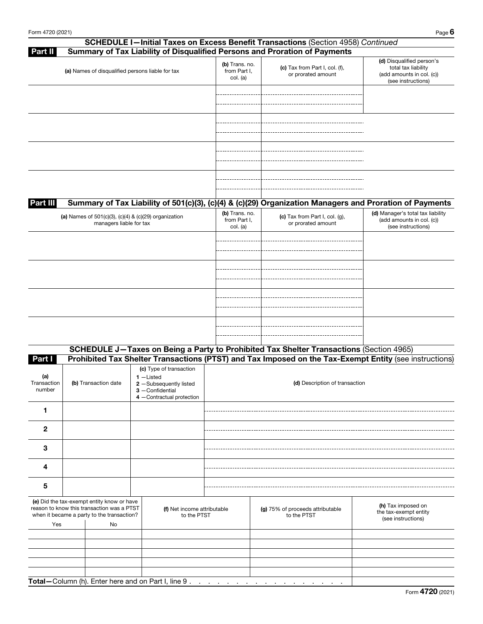| <b>SCHEDULE I-Initial Taxes on Excess Benefit Transactions (Section 4958) Continued</b>                             |                                            |                                                         |                                                                                                     |
|---------------------------------------------------------------------------------------------------------------------|--------------------------------------------|---------------------------------------------------------|-----------------------------------------------------------------------------------------------------|
| Summary of Tax Liability of Disqualified Persons and Proration of Payments<br><b>Part II</b>                        |                                            |                                                         |                                                                                                     |
| (a) Names of disqualified persons liable for tax                                                                    | (b) Trans. no.<br>from Part I.<br>col. (a) | (c) Tax from Part I, col. (f),<br>or prorated amount    | (d) Disqualified person's<br>total tax liability<br>(add amounts in col. (c))<br>(see instructions) |
|                                                                                                                     |                                            |                                                         |                                                                                                     |
|                                                                                                                     |                                            |                                                         |                                                                                                     |
|                                                                                                                     |                                            |                                                         |                                                                                                     |
|                                                                                                                     |                                            |                                                         |                                                                                                     |
| Summary of Tax Liability of 501(c)(3), (c)(4) & (c)(29) Organization Managers and Proration of Payments<br>Part III |                                            |                                                         |                                                                                                     |
| (a) Names of $501(c)(3)$ , $(c)(4)$ & $(c)(29)$ organization<br>managers liable for tax                             | (b) Trans. no.<br>from Part I,<br>col. (a) | (c) Tax from Part I, col. $(g)$ ,<br>or prorated amount | (d) Manager's total tax liability<br>(add amounts in col. (c))<br>(see instructions)                |
|                                                                                                                     |                                            |                                                         |                                                                                                     |
|                                                                                                                     |                                            |                                                         |                                                                                                     |

| (b) Transaction date                                                                                                                          |    |  | (d) Description of transaction                                                                                                                                             |                                                 |                                                                                                                                                                                                   |  |  |  |
|-----------------------------------------------------------------------------------------------------------------------------------------------|----|--|----------------------------------------------------------------------------------------------------------------------------------------------------------------------------|-------------------------------------------------|---------------------------------------------------------------------------------------------------------------------------------------------------------------------------------------------------|--|--|--|
|                                                                                                                                               |    |  |                                                                                                                                                                            |                                                 |                                                                                                                                                                                                   |  |  |  |
|                                                                                                                                               |    |  |                                                                                                                                                                            |                                                 |                                                                                                                                                                                                   |  |  |  |
|                                                                                                                                               |    |  |                                                                                                                                                                            |                                                 |                                                                                                                                                                                                   |  |  |  |
|                                                                                                                                               |    |  |                                                                                                                                                                            |                                                 |                                                                                                                                                                                                   |  |  |  |
|                                                                                                                                               |    |  |                                                                                                                                                                            |                                                 |                                                                                                                                                                                                   |  |  |  |
| (e) Did the tax-exempt entity know or have<br>reason to know this transaction was a PTST<br>when it became a party to the transaction?<br>Yes |    |  |                                                                                                                                                                            | (g) 75% of proceeds attributable<br>to the PTST | (h) Tax imposed on<br>the tax-exempt entity<br>(see instructions)                                                                                                                                 |  |  |  |
|                                                                                                                                               |    |  |                                                                                                                                                                            |                                                 |                                                                                                                                                                                                   |  |  |  |
|                                                                                                                                               |    |  |                                                                                                                                                                            |                                                 |                                                                                                                                                                                                   |  |  |  |
|                                                                                                                                               |    |  |                                                                                                                                                                            |                                                 |                                                                                                                                                                                                   |  |  |  |
|                                                                                                                                               |    |  |                                                                                                                                                                            |                                                 |                                                                                                                                                                                                   |  |  |  |
|                                                                                                                                               |    |  |                                                                                                                                                                            |                                                 |                                                                                                                                                                                                   |  |  |  |
|                                                                                                                                               | No |  | (c) Type of transaction<br>$1$ -Listed<br>2 -Subsequently listed<br>$3$ - Confidential<br>4 -Contractual protection<br>Total-Column (h). Enter here and on Part I, line 9. | (f) Net income attributable<br>to the PTST      | SCHEDULE J-Taxes on Being a Party to Prohibited Tax Shelter Transactions (Section 4965)<br>Prohibited Tax Shelter Transactions (PTST) and Tax Imposed on the Tax-Exempt Entity (see instructions) |  |  |  |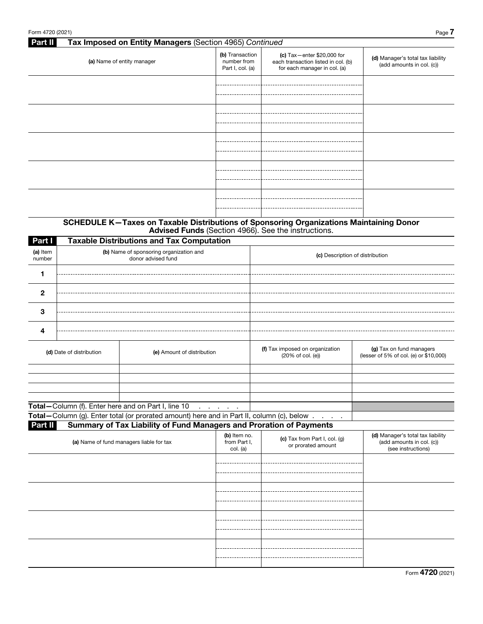# Part II Tax Imposed on Entity Managers (Section 4965) *Continued* (b) Transaction (c) Tax—enter \$20,000 for (d) Manager's total tax liability number from (a) Name of entity manager each transaction listed in col. (b) (add amounts in col. (c)) Part I, col. (a) for each manager in col. (a) -------------------------------------. . . . . . . . . . . .

### SCHEDULE K—Taxes on Taxable Distributions of Sponsoring Organizations Maintaining Donor Advised Funds (Section 4966). See the instructions.

| Part I                   |  | <b>Taxable Distributions and Tax Computation</b>                                          |                                                      |                                                                    |  |  |  |  |  |
|--------------------------|--|-------------------------------------------------------------------------------------------|------------------------------------------------------|--------------------------------------------------------------------|--|--|--|--|--|
| (a) Item<br>number       |  | (b) Name of sponsoring organization and<br>donor advised fund                             | (c) Description of distribution                      |                                                                    |  |  |  |  |  |
|                          |  |                                                                                           |                                                      |                                                                    |  |  |  |  |  |
| $\mathbf{2}$             |  |                                                                                           |                                                      |                                                                    |  |  |  |  |  |
| 3                        |  |                                                                                           |                                                      |                                                                    |  |  |  |  |  |
| 4                        |  |                                                                                           |                                                      |                                                                    |  |  |  |  |  |
| (d) Date of distribution |  | (e) Amount of distribution                                                                | (f) Tax imposed on organization<br>(20% of col. (e)) | (g) Tax on fund managers<br>(lesser of 5% of col. (e) or \$10,000) |  |  |  |  |  |
|                          |  |                                                                                           |                                                      |                                                                    |  |  |  |  |  |
|                          |  |                                                                                           |                                                      |                                                                    |  |  |  |  |  |
|                          |  |                                                                                           |                                                      |                                                                    |  |  |  |  |  |
|                          |  | Total-Column (f). Enter here and on Part I, line 10<br>and a state of the                 |                                                      |                                                                    |  |  |  |  |  |
|                          |  | Total-Column (g). Enter total (or prorated amount) here and in Part II, column (c), below |                                                      |                                                                    |  |  |  |  |  |

Part II Summary of Tax Liability of Fund Managers and Proration of Payments

| (a) Name of fund managers liable for tax | (b) Item no.<br>from Part I,<br>col. (a) | (c) Tax from Part I, col. (g)<br>or prorated amount | (d) Manager's total tax liability<br>(add amounts in col. (c))<br>(see instructions) |
|------------------------------------------|------------------------------------------|-----------------------------------------------------|--------------------------------------------------------------------------------------|
|                                          |                                          |                                                     |                                                                                      |
|                                          |                                          |                                                     |                                                                                      |
|                                          |                                          |                                                     |                                                                                      |
|                                          | -----                                    |                                                     |                                                                                      |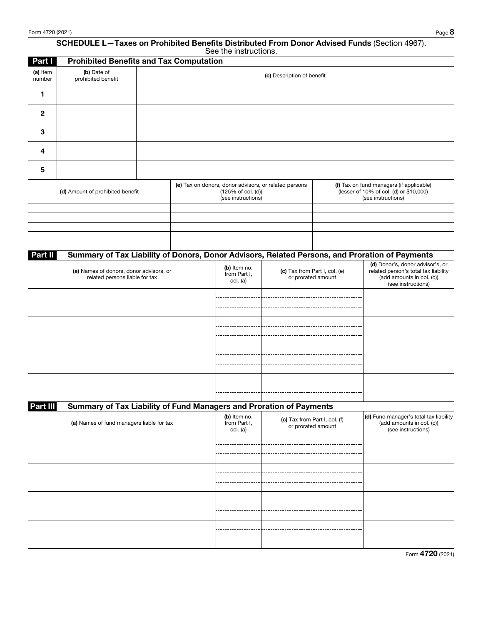#### SCHEDULE L—Taxes on Prohibited Benefits Distributed From Donor Advised Funds (Section 4967). See the instructions.

| Part I             | <b>Prohibited Benefits and Tax Computation</b>                            |                                                                                                   |                                          |                                                     |                                                                                                           |                                                                                                                             |
|--------------------|---------------------------------------------------------------------------|---------------------------------------------------------------------------------------------------|------------------------------------------|-----------------------------------------------------|-----------------------------------------------------------------------------------------------------------|-----------------------------------------------------------------------------------------------------------------------------|
| (a) Item<br>number | (b) Date of<br>prohibited benefit                                         |                                                                                                   |                                          | (c) Description of benefit                          |                                                                                                           |                                                                                                                             |
| 1                  |                                                                           |                                                                                                   |                                          |                                                     |                                                                                                           |                                                                                                                             |
| $\mathbf{2}$       |                                                                           |                                                                                                   |                                          |                                                     |                                                                                                           |                                                                                                                             |
| 3                  |                                                                           |                                                                                                   |                                          |                                                     |                                                                                                           |                                                                                                                             |
| 4                  |                                                                           |                                                                                                   |                                          |                                                     |                                                                                                           |                                                                                                                             |
| 5                  |                                                                           |                                                                                                   |                                          |                                                     |                                                                                                           |                                                                                                                             |
|                    | (d) Amount of prohibited benefit                                          | (e) Tax on donors, donor advisors, or related persons<br>(125% of col. (d))<br>(see instructions) |                                          |                                                     | (f) Tax on fund managers (if applicable)<br>(lesser of 10% of col. (d) or \$10,000)<br>(see instructions) |                                                                                                                             |
|                    |                                                                           |                                                                                                   |                                          |                                                     |                                                                                                           |                                                                                                                             |
|                    |                                                                           |                                                                                                   |                                          |                                                     |                                                                                                           |                                                                                                                             |
|                    |                                                                           |                                                                                                   |                                          |                                                     |                                                                                                           |                                                                                                                             |
|                    |                                                                           |                                                                                                   |                                          |                                                     |                                                                                                           |                                                                                                                             |
|                    |                                                                           |                                                                                                   |                                          |                                                     |                                                                                                           |                                                                                                                             |
| Part II            |                                                                           |                                                                                                   |                                          |                                                     |                                                                                                           | Summary of Tax Liability of Donors, Donor Advisors, Related Persons, and Proration of Payments                              |
|                    | (a) Names of donors, donor advisors, or<br>related persons liable for tax |                                                                                                   | (b) Item no.<br>from Part I,<br>col. (a) | (c) Tax from Part I, col. (e)<br>or prorated amount |                                                                                                           | (d) Donor's, donor advisor's, or<br>related person's total tax liability<br>(add amounts in col. (c))<br>(see instructions) |
|                    |                                                                           |                                                                                                   |                                          |                                                     |                                                                                                           |                                                                                                                             |
|                    |                                                                           |                                                                                                   |                                          |                                                     |                                                                                                           |                                                                                                                             |
|                    |                                                                           |                                                                                                   |                                          |                                                     |                                                                                                           |                                                                                                                             |
|                    |                                                                           |                                                                                                   |                                          |                                                     |                                                                                                           |                                                                                                                             |
| Part III           | Summary of Tax Liability of Fund Managers and Proration of Payments       |                                                                                                   |                                          |                                                     |                                                                                                           |                                                                                                                             |
|                    | (a) Names of fund managers liable for tax                                 |                                                                                                   | (b) Item no.<br>from Part I,<br>col. (a) | (c) Tax from Part I, col. (f)                       | or prorated amount                                                                                        | (d) Fund manager's total tax liability<br>(add amounts in col. (c))<br>(see instructions)                                   |
|                    |                                                                           |                                                                                                   |                                          |                                                     |                                                                                                           |                                                                                                                             |
|                    |                                                                           |                                                                                                   |                                          |                                                     |                                                                                                           |                                                                                                                             |
|                    |                                                                           |                                                                                                   |                                          |                                                     |                                                                                                           |                                                                                                                             |
|                    |                                                                           |                                                                                                   |                                          |                                                     |                                                                                                           |                                                                                                                             |
|                    |                                                                           |                                                                                                   |                                          |                                                     |                                                                                                           |                                                                                                                             |
|                    |                                                                           |                                                                                                   |                                          |                                                     |                                                                                                           |                                                                                                                             |
|                    |                                                                           |                                                                                                   |                                          |                                                     |                                                                                                           |                                                                                                                             |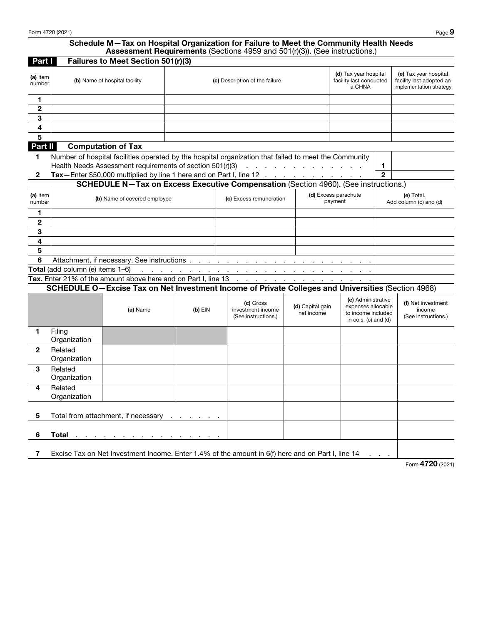## Schedule M—Tax on Hospital Organization for Failure to Meet the Community Health Needs Assessment Requirements (Sections 4959 and 501(r)(3)). (See instructions.)

| Part I                                          |                                  | Failures to Meet Section 501(r)(3)                        |                                |                                                                                                                      |                                       |                                                                                        |             |                                                                              |  |
|-------------------------------------------------|----------------------------------|-----------------------------------------------------------|--------------------------------|----------------------------------------------------------------------------------------------------------------------|---------------------------------------|----------------------------------------------------------------------------------------|-------------|------------------------------------------------------------------------------|--|
| (a) Item<br>number                              |                                  | (b) Name of hospital facility                             |                                | (c) Description of the failure                                                                                       |                                       | (d) Tax year hospital<br>facility last conducted<br>a CHNA                             |             | (e) Tax year hospital<br>facility last adopted an<br>implementation strategy |  |
| 1                                               |                                  |                                                           |                                |                                                                                                                      |                                       |                                                                                        |             |                                                                              |  |
| $\overline{2}$                                  |                                  |                                                           |                                |                                                                                                                      |                                       |                                                                                        |             |                                                                              |  |
| 3                                               |                                  |                                                           |                                |                                                                                                                      |                                       |                                                                                        |             |                                                                              |  |
| 4                                               |                                  |                                                           |                                |                                                                                                                      |                                       |                                                                                        |             |                                                                              |  |
| 5                                               |                                  |                                                           |                                |                                                                                                                      |                                       |                                                                                        |             |                                                                              |  |
| Part II                                         |                                  | <b>Computation of Tax</b>                                 |                                |                                                                                                                      |                                       |                                                                                        |             |                                                                              |  |
| 1                                               |                                  |                                                           |                                | Number of hospital facilities operated by the hospital organization that failed to meet the Community                |                                       |                                                                                        | 1           |                                                                              |  |
| 2                                               |                                  | Health Needs Assessment requirements of section 501(r)(3) |                                | Tax-Enter \$50,000 multiplied by line 1 here and on Part I, line 12                                                  | and the second contract of the second |                                                                                        | $\mathbf 2$ |                                                                              |  |
|                                                 |                                  |                                                           |                                | <b>SCHEDULE N-Tax on Excess Executive Compensation (Section 4960). (See instructions.)</b>                           |                                       |                                                                                        |             |                                                                              |  |
| (a) Item                                        | (d) Excess parachute             |                                                           |                                |                                                                                                                      |                                       |                                                                                        |             |                                                                              |  |
| number                                          |                                  | (b) Name of covered employee                              |                                | (c) Excess remuneration                                                                                              |                                       | payment                                                                                |             | (e) Total.<br>Add column (c) and (d)                                         |  |
| 1                                               |                                  |                                                           |                                |                                                                                                                      |                                       |                                                                                        |             |                                                                              |  |
| 2                                               |                                  |                                                           |                                |                                                                                                                      |                                       |                                                                                        |             |                                                                              |  |
| 3                                               |                                  |                                                           |                                |                                                                                                                      |                                       |                                                                                        |             |                                                                              |  |
| 4                                               |                                  |                                                           |                                |                                                                                                                      |                                       |                                                                                        |             |                                                                              |  |
| 5                                               |                                  |                                                           |                                |                                                                                                                      |                                       |                                                                                        |             |                                                                              |  |
| 6<br>Attachment, if necessary. See instructions |                                  |                                                           |                                |                                                                                                                      |                                       |                                                                                        |             |                                                                              |  |
|                                                 | Total (add column (e) items 1-6) | à.                                                        |                                | the contract of the contract of the contract of the contract of the contract of the contract of the contract of      |                                       |                                                                                        |             |                                                                              |  |
|                                                 |                                  |                                                           |                                | Tax. Enter 21% of the amount above here and on Part I, line 13 $\ldots$ $\ldots$ $\ldots$ $\ldots$ $\ldots$ $\ldots$ |                                       |                                                                                        |             |                                                                              |  |
|                                                 |                                  |                                                           |                                | SCHEDULE O-Excise Tax on Net Investment Income of Private Colleges and Universities (Section 4968)                   |                                       |                                                                                        |             |                                                                              |  |
|                                                 |                                  | (a) Name                                                  | $(b)$ EIN                      | (c) Gross<br>investment income<br>(See instructions.)                                                                | (d) Capital gain<br>net income        | (e) Administrative<br>expenses allocable<br>to income included<br>in cols. (c) and (d) |             | (f) Net investment<br>income<br>(See instructions.)                          |  |
| 1                                               | Filing<br>Organization           |                                                           |                                |                                                                                                                      |                                       |                                                                                        |             |                                                                              |  |
| 2                                               | Related<br>Organization          |                                                           |                                |                                                                                                                      |                                       |                                                                                        |             |                                                                              |  |
| 3                                               | Related<br>Organization          |                                                           |                                |                                                                                                                      |                                       |                                                                                        |             |                                                                              |  |
| 4                                               | Related<br>Organization          |                                                           |                                |                                                                                                                      |                                       |                                                                                        |             |                                                                              |  |
| 5                                               |                                  | Total from attachment, if necessary                       | $\sim$<br><b>Service</b> State |                                                                                                                      |                                       |                                                                                        |             |                                                                              |  |
| 6                                               | <b>Total</b>                     |                                                           |                                |                                                                                                                      |                                       |                                                                                        |             |                                                                              |  |
| 7                                               |                                  |                                                           |                                | Excise Tax on Net Investment Income. Enter 1.4% of the amount in 6(f) here and on Part I, line 14                    |                                       |                                                                                        |             | 1700                                                                         |  |